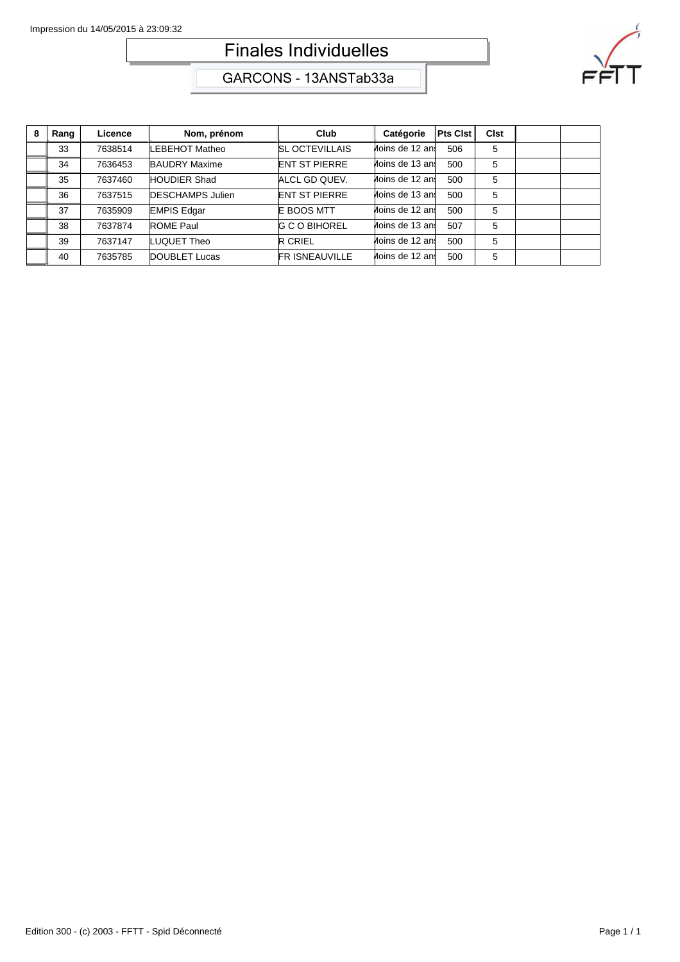## Finales Individuelles



GARCONS - 13ANSTab33a

| 8 | Rang | Licence | Nom, prénom             | Club                  | Catégorie       | <b>Pts Clst</b> | <b>Clst</b> |  |
|---|------|---------|-------------------------|-----------------------|-----------------|-----------------|-------------|--|
|   | 33   | 7638514 | LEBEHOT Matheo          | <b>SL OCTEVILLAIS</b> | Moins de 12 ans | 506             | 5           |  |
|   | 34   | 7636453 | <b>BAUDRY Maxime</b>    | <b>ENT ST PIERRE</b>  | Moins de 13 ans | 500             | 5           |  |
|   | 35   | 7637460 | <b>HOUDIER Shad</b>     | ALCL GD QUEV.         | Moins de 12 ans | 500             | 5           |  |
|   | 36   | 7637515 | <b>DESCHAMPS Julien</b> | <b>ENT ST PIERRE</b>  | Moins de 13 ans | 500             | 5           |  |
|   | 37   | 7635909 | <b>EMPIS Edgar</b>      | E BOOS MTT            | Moins de 12 ans | 500             | 5           |  |
|   | 38   | 7637874 | <b>ROME Paul</b>        | <b>G C O BIHOREL</b>  | Moins de 13 ans | 507             | 5           |  |
|   | 39   | 7637147 | LUQUET Theo             | <b>R CRIEL</b>        | Moins de 12 ani | 500             | 5           |  |
|   | 40   | 7635785 | DOUBLET Lucas           | <b>FRISNEAUVILLE</b>  | Moins de 12 ani | 500             | 5           |  |